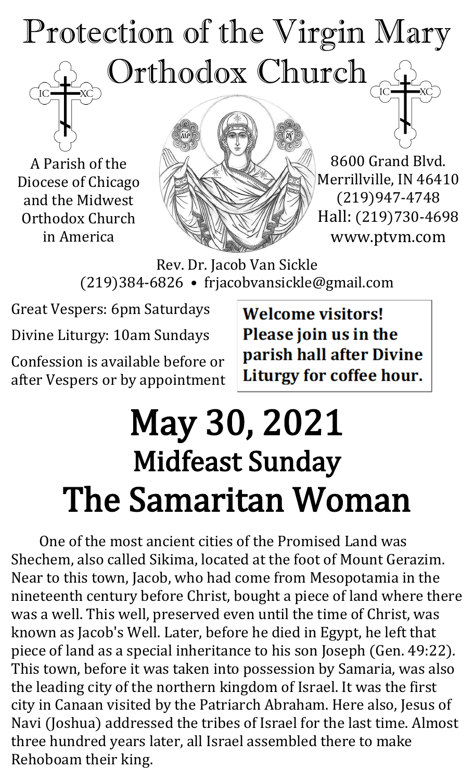# Protection of the Virgin Mary Orthodox Church

A Parish of the Diocese of Chicago and the Midwest Orthodox Church in America



8600 Grand Blvd. Merrillville, IN 46410 (219)947-4748 Hall: (219)730-4698 www.ptvm.com

Rev. Dr. Jacob Van Sickle (219)384-6826 • frjacobvansickle@gmail.com

Great Vespers: 6pm Saturdays

Divine Liturgy: 10am Sundays

Confession is available before or after Vespers or by appointment **Welcome visitors!** Please join us in the parish hall after Divine Liturgy for coffee hour.

## May 30, 2021 Midfeast Sunday The Samaritan Woman

Ï

One of the most ancient cities of the Promised Land was Shechem, also called Sikima, located at the foot of Mount Gerazim. Near to this town, Jacob, who had come from Mesopotamia in the nineteenth century before Christ, bought a piece of land where there was a well. This well, preserved even until the time of Christ, was known as Jacob's Well. Later, before he died in Egypt, he left that piece of land as a special inheritance to his son Joseph (Gen. 49:22). This town, before it was taken into possession by Samaria, was also the leading city of the northern kingdom of Israel. It was the first city in Canaan visited by the Patriarch Abraham. Here also, Jesus of Navi (Joshua) addressed the tribes of Israel for the last time. Almost three hundred years later, all Israel assembled there to make Rehoboam their king.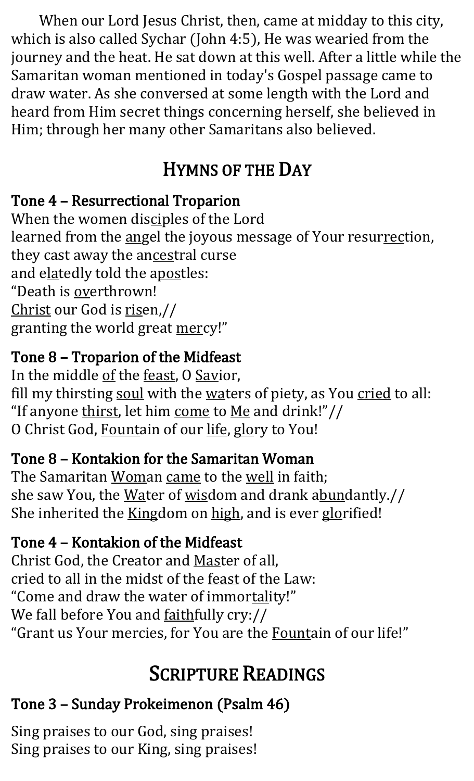When our Lord Jesus Christ, then, came at midday to this city, which is also called Sychar (John 4:5), He was wearied from the journey and the heat. He sat down at this well. After a little while the Samaritan woman mentioned in today's Gospel passage came to draw water. As she conversed at some length with the Lord and heard from Him secret things concerning herself, she believed in Him; through her many other Samaritans also believed.

## HYMNS OF THE DAY

### Tone 4 – Resurrectional Troparion

When the women disciples of the Lord learned from the angel the joyous message of Your resurrection, they cast away the ancestral curse and elatedly told the apostles: "Death is overthrown! Christ our God is risen,// granting the world great mercy!"

### Tone 8 – Troparion of the Midfeast

In the middle of the feast, O Savior, fill my thirsting soul with the waters of piety, as You cried to all: "If anyone thirst, let him come to Me and drink!"// O Christ God, Fountain of our life, glory to You!

#### Tone 8 – Kontakion for the Samaritan Woman

The Samaritan Woman came to the well in faith; she saw You, the Water of wisdom and drank abundantly.// She inherited the Kingdom on high, and is ever glorified!

### Tone 4 – Kontakion of the Midfeast

Christ God, the Creator and Master of all, cried to all in the midst of the feast of the Law: "Come and draw the water of immortality!" We fall before You and faithfully cry:// "Grant us Your mercies, for You are the Fountain of our life!"

## SCRIPTURE READINGS

## Tone 3 – Sunday Prokeimenon (Psalm 46)

Sing praises to our God, sing praises! Sing praises to our King, sing praises!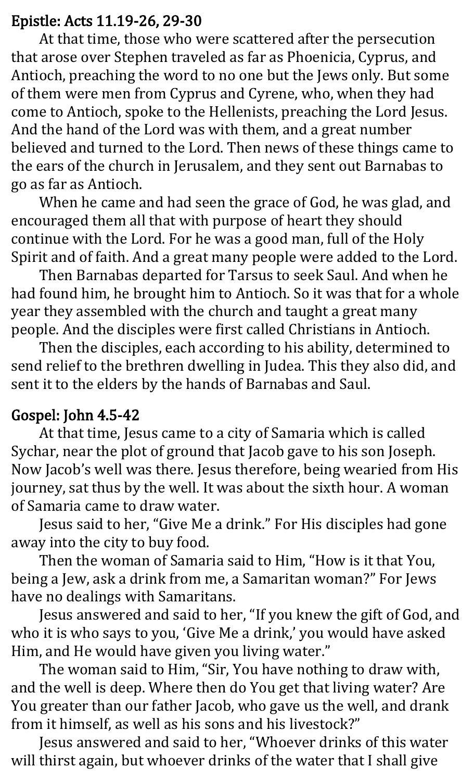#### Epistle: Acts 11.19-26, 29-30

At that time, those who were scattered after the persecution that arose over Stephen traveled as far as Phoenicia, Cyprus, and Antioch, preaching the word to no one but the Jews only. But some of them were men from Cyprus and Cyrene, who, when they had come to Antioch, spoke to the Hellenists, preaching the Lord Jesus. And the hand of the Lord was with them, and a great number believed and turned to the Lord. Then news of these things came to the ears of the church in Jerusalem, and they sent out Barnabas to go as far as Antioch.

When he came and had seen the grace of God, he was glad, and encouraged them all that with purpose of heart they should continue with the Lord. For he was a good man, full of the Holy Spirit and of faith. And a great many people were added to the Lord.

Then Barnabas departed for Tarsus to seek Saul. And when he had found him, he brought him to Antioch. So it was that for a whole year they assembled with the church and taught a great many people. And the disciples were first called Christians in Antioch.

Then the disciples, each according to his ability, determined to send relief to the brethren dwelling in Judea. This they also did, and sent it to the elders by the hands of Barnabas and Saul.

#### Gospel: John 4.5-42

At that time, Jesus came to a city of Samaria which is called Sychar, near the plot of ground that Jacob gave to his son Joseph. Now Jacob's well was there. Jesus therefore, being wearied from His journey, sat thus by the well. It was about the sixth hour. A woman of Samaria came to draw water.

Jesus said to her, "Give Me a drink." For His disciples had gone away into the city to buy food.

Then the woman of Samaria said to Him, "How is it that You, being a Jew, ask a drink from me, a Samaritan woman?" For Jews have no dealings with Samaritans.

Jesus answered and said to her, "If you knew the gift of God, and who it is who says to you, 'Give Me a drink,' you would have asked Him, and He would have given you living water."

The woman said to Him, "Sir, You have nothing to draw with, and the well is deep. Where then do You get that living water? Are You greater than our father Jacob, who gave us the well, and drank from it himself, as well as his sons and his livestock?"

Jesus answered and said to her, "Whoever drinks of this water will thirst again, but whoever drinks of the water that I shall give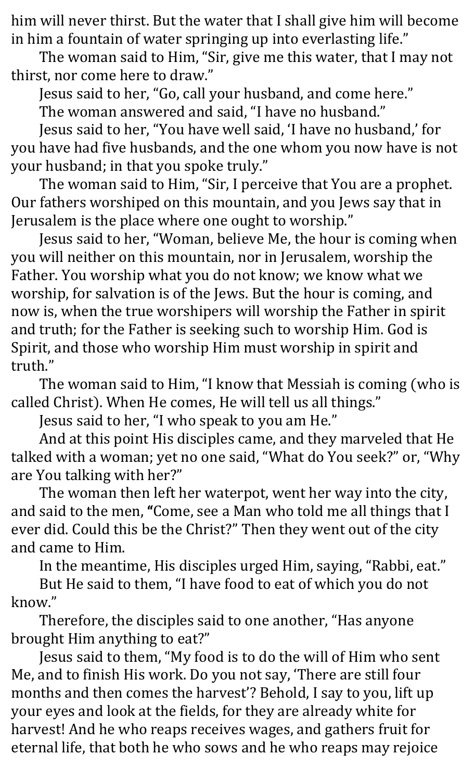him will never thirst. But the water that I shall give him will become in him a fountain of water springing up into everlasting life."

The woman said to Him, "Sir, give me this water, that I may not thirst, nor come here to draw."

Jesus said to her, "Go, call your husband, and come here."

The woman answered and said, "I have no husband."

Jesus said to her, "You have well said, 'I have no husband,' for you have had five husbands, and the one whom you now have is not your husband; in that you spoke truly."

The woman said to Him, "Sir, I perceive that You are a prophet. Our fathers worshiped on this mountain, and you Jews say that in Jerusalem is the place where one ought to worship."

Jesus said to her, "Woman, believe Me, the hour is coming when you will neither on this mountain, nor in Jerusalem, worship the Father. You worship what you do not know; we know what we worship, for salvation is of the Jews. But the hour is coming, and now is, when the true worshipers will worship the Father in spirit and truth; for the Father is seeking such to worship Him. God is Spirit, and those who worship Him must worship in spirit and truth."

The woman said to Him, "I know that Messiah is coming (who is called Christ). When He comes, He will tell us all things."

Jesus said to her, "I who speak to you am He."

And at this point His disciples came, and they marveled that He talked with a woman; yet no one said, "What do You seek?" or, "Why are You talking with her?"

The woman then left her waterpot, went her way into the city, and said to the men, "Come, see a Man who told me all things that I ever did. Could this be the Christ?" Then they went out of the city and came to Him.

In the meantime, His disciples urged Him, saying, "Rabbi, eat."

But He said to them, "I have food to eat of which you do not know."

Therefore, the disciples said to one another, "Has anyone brought Him anything to eat?"

Jesus said to them, "My food is to do the will of Him who sent Me, and to finish His work. Do you not say, 'There are still four months and then comes the harvest'? Behold, I say to you, lift up your eyes and look at the fields, for they are already white for harvest! And he who reaps receives wages, and gathers fruit for eternal life, that both he who sows and he who reaps may rejoice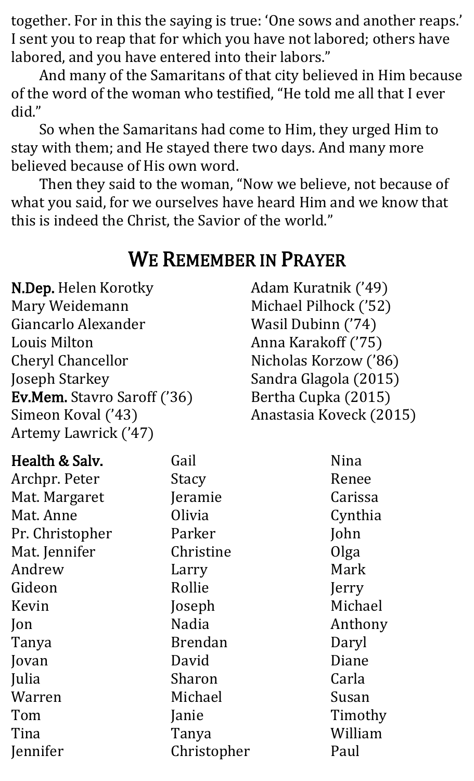together. For in this the saying is true: 'One sows and another reaps.' I sent you to reap that for which you have not labored; others have labored, and you have entered into their labors."

And many of the Samaritans of that city believed in Him because of the word of the woman who testified, "He told me all that I ever did."

So when the Samaritans had come to Him, they urged Him to stay with them; and He stayed there two days. And many more believed because of His own word.

Then they said to the woman, "Now we believe, not because of what you said, for we ourselves have heard Him and we know that this is indeed the Christ, the Savior of the world."

## WE REMEMBER IN PRAYER

N.Dep. Helen Korotky Mary Weidemann Giancarlo Alexander Louis Milton Cheryl Chancellor Joseph Starkey Ev.Mem. Stavro Saroff ('36) Simeon Koval ('43) Artemy Lawrick ('47)

Adam Kuratnik ('49) Michael Pilhock ('52) Wasil Dubinn ('74) Anna Karakoff ('75) Nicholas Korzow ('86) Sandra Glagola (2015) Bertha Cupka (2015) Anastasia Koveck (2015)

| Health & Salv.  | Gail           | Nina    |
|-----------------|----------------|---------|
| Archpr. Peter   | <b>Stacy</b>   | Renee   |
| Mat. Margaret   | Jeramie        | Carissa |
| Mat. Anne       | Olivia         | Cynthia |
| Pr. Christopher | Parker         | John    |
| Mat. Jennifer   | Christine      | Olga    |
| Andrew          | Larry          | Mark    |
| Gideon          | Rollie         | Jerry   |
| Kevin           | Joseph         | Michael |
| Jon             | Nadia          | Anthony |
| Tanya           | <b>Brendan</b> | Daryl   |
| Jovan           | David          | Diane   |
| Julia           | Sharon         | Carla   |
| Warren          | Michael        | Susan   |
| Tom             | Janie          | Timothy |
| Tina            | Tanya          | William |
| Jennifer        | Christopher    | Paul    |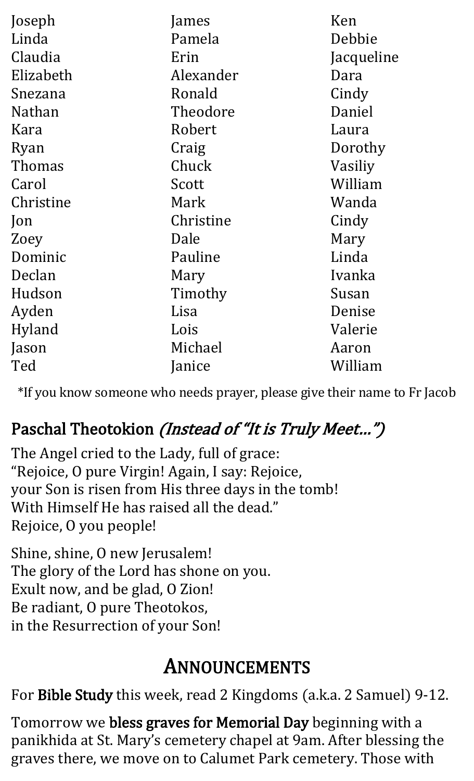| Joseph        | James     | Ken        |
|---------------|-----------|------------|
| Linda         | Pamela    | Debbie     |
| Claudia       | Erin      | Jacqueline |
| Elizabeth     | Alexander | Dara       |
| Snezana       | Ronald    | Cindy      |
| <b>Nathan</b> | Theodore  | Daniel     |
| Kara          | Robert    | Laura      |
| Ryan          | Craig     | Dorothy    |
| Thomas        | Chuck     | Vasiliy    |
| Carol         | Scott     | William    |
| Christine     | Mark      | Wanda      |
| Jon           | Christine | Cindy      |
| Zoey          | Dale      | Mary       |
| Dominic       | Pauline   | Linda      |
| Declan        | Mary      | Ivanka     |
| Hudson        | Timothy   | Susan      |
| Ayden         | Lisa      | Denise     |
| Hyland        | Lois      | Valerie    |
| Jason         | Michael   | Aaron      |
| Ted           | Janice    | William    |

\*If you know someone who needs prayer, please give their name to Fr Jacob

## Paschal Theotokion (Instead of "It is Truly Meet...")

The Angel cried to the Lady, full of grace: "Rejoice, O pure Virgin! Again, I say: Rejoice, your Son is risen from His three days in the tomb! With Himself He has raised all the dead." Rejoice, O you people!

Shine, shine, O new Jerusalem! The glory of the Lord has shone on you. Exult now, and be glad, O Zion! Be radiant, O pure Theotokos, in the Resurrection of your Son!

## ANNOUNCEMENTS

For Bible Study this week, read 2 Kingdoms (a.k.a. 2 Samuel) 9-12.

Tomorrow we bless graves for Memorial Day beginning with a panikhida at St. Mary's cemetery chapel at 9am. After blessing the graves there, we move on to Calumet Park cemetery. Those with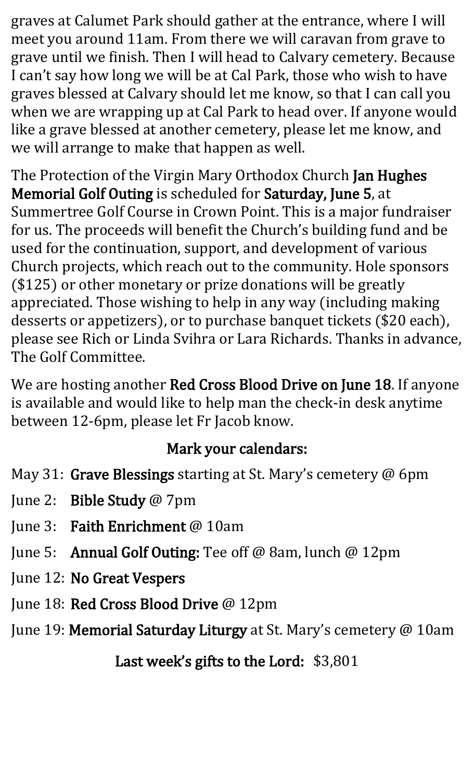graves at Calumet Park should gather at the entrance, where I will meet you around 11am. From there we will caravan from grave to grave until we finish. Then I will head to Calvary cemetery. Because I can't say how long we will be at Cal Park, those who wish to have graves blessed at Calvary should let me know, so that I can call you when we are wrapping up at Cal Park to head over. If anyone would like a grave blessed at another cemetery, please let me know, and we will arrange to make that happen as well.

The Protection of the Virgin Mary Orthodox Church Jan Hughes Memorial Golf Outing is scheduled for Saturday, June 5, at Summertree Golf Course in Crown Point. This is a major fundraiser for us. The proceeds will benefit the Church's building fund and be used for the continuation, support, and development of various Church projects, which reach out to the community. Hole sponsors (\$125) or other monetary or prize donations will be greatly appreciated. Those wishing to help in any way (including making desserts or appetizers), or to purchase banquet tickets (\$20 each), please see Rich or Linda Svihra or Lara Richards. Thanks in advance, The Golf Committee.

We are hosting another Red Cross Blood Drive on June 18. If anyone is available and would like to help man the check-in desk anytime between 12-6pm, please let Fr Jacob know.

#### Mark your calendars:

- May 31: Grave Blessings starting at St. Mary's cemetery @ 6pm
- June 2: Bible Study @ 7pm
- June 3: Faith Enrichment @ 10am
- June 5: Annual Golf Outing: Tee off @ 8am, lunch @ 12pm
- June 12: No Great Vespers
- June 18: Red Cross Blood Drive @ 12pm
- June 19: Memorial Saturday Liturgy at St. Mary's cemetery @ 10am

Last week's gifts to the Lord: \$3,801